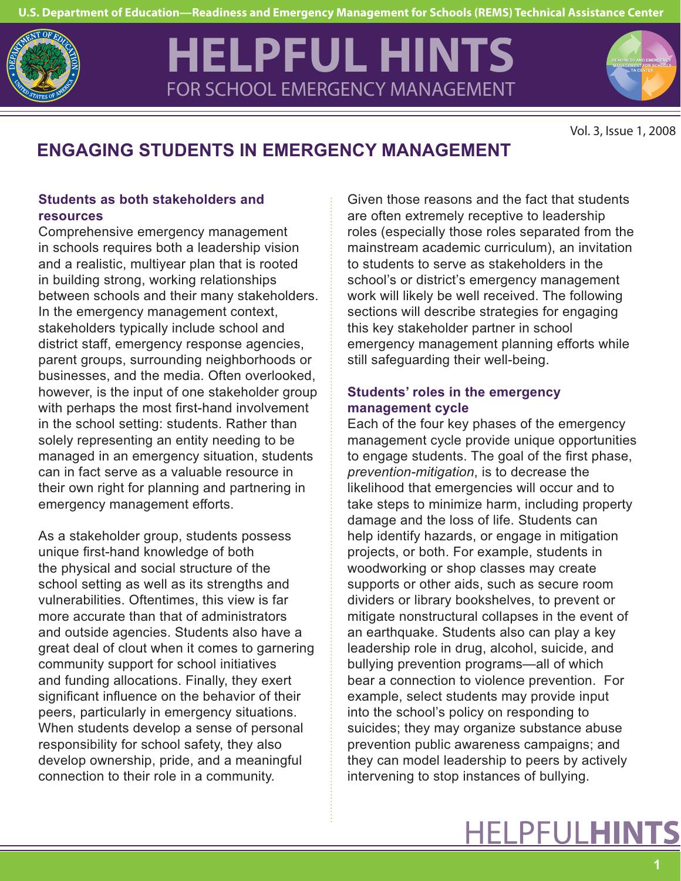

# **HELPFUL HINTS** FOR SCHOOL EMERGENCY MANAGEMENT



Vol. 3, Issue 1, 2008

# **ENGAGING STUDENTS IN EMERGENCY MANAGEMENT**

# **Students as both stakeholders and resources**

Comprehensive emergency management in schools requires both a leadership vision and a realistic, multiyear plan that is rooted in building strong, working relationships between schools and their many stakeholders. In the emergency management context, stakeholders typically include school and district staff, emergency response agencies, parent groups, surrounding neighborhoods or businesses, and the media. Often overlooked, however, is the input of one stakeholder group with perhaps the most first-hand involvement in the school setting: students. Rather than solely representing an entity needing to be managed in an emergency situation, students can in fact serve as a valuable resource in their own right for planning and partnering in emergency management efforts.

As a stakeholder group, students possess unique first-hand knowledge of both the physical and social structure of the school setting as well as its strengths and vulnerabilities. Oftentimes, this view is far more accurate than that of administrators and outside agencies. Students also have a great deal of clout when it comes to garnering community support for school initiatives and funding allocations. Finally, they exert significant influence on the behavior of their peers, particularly in emergency situations. When students develop a sense of personal responsibility for school safety, they also develop ownership, pride, and a meaningful connection to their role in a community.

Given those reasons and the fact that students are often extremely receptive to leadership roles (especially those roles separated from the mainstream academic curriculum), an invitation to students to serve as stakeholders in the school's or district's emergency management work will likely be well received. The following sections will describe strategies for engaging this key stakeholder partner in school emergency management planning efforts while still safeguarding their well-being.

# **Students' roles in the emergency management cycle**

Each of the four key phases of the emergency management cycle provide unique opportunities to engage students. The goal of the first phase, *prevention-mitigation*, is to decrease the likelihood that emergencies will occur and to take steps to minimize harm, including property damage and the loss of life. Students can help identify hazards, or engage in mitigation projects, or both. For example, students in woodworking or shop classes may create supports or other aids, such as secure room dividers or library bookshelves, to prevent or mitigate nonstructural collapses in the event of an earthquake. Students also can play a key leadership role in drug, alcohol, suicide, and bullying prevention programs—all of which bear a connection to violence prevention. For example, select students may provide input into the school's policy on responding to suicides; they may organize substance abuse prevention public awareness campaigns; and they can model leadership to peers by actively intervening to stop instances of bullying. **READING AND SIDE 1, 2008**<br> **READING AND SIDE 1, 2008**<br> **READ SIDE 1, 2008**<br> **READ SIDE 1**<br> **READ SIDE 1**<br> **CY**<br> **READ SIDE 1**<br> **CY**<br> **READ SIDE 1**<br> **CY**<br> **READ SIDE 1**<br> **CY**<br> **READ SIDE 1** 

# **HELPFULHINTS**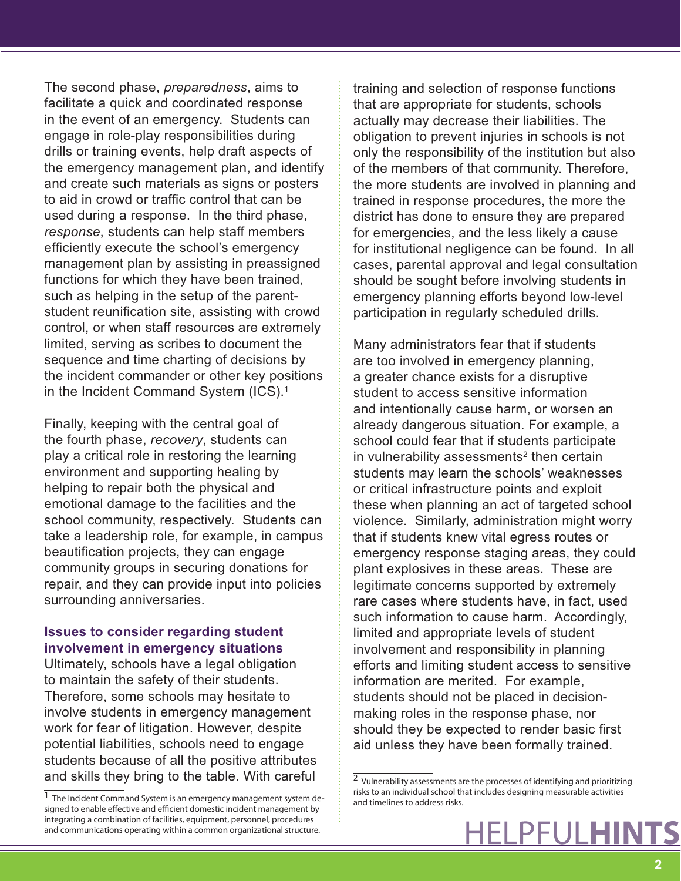The second phase, *preparedness*, aims to facilitate a quick and coordinated response in the event of an emergency. Students can engage in role-play responsibilities during drills or training events, help draft aspects of the emergency management plan, and identify and create such materials as signs or posters to aid in crowd or traffic control that can be used during a response. In the third phase, *response*, students can help staff members efficiently execute the school's emergency management plan by assisting in preassigned functions for which they have been trained, such as helping in the setup of the parentstudent reunification site, assisting with crowd control, or when staff resources are extremely limited, serving as scribes to document the sequence and time charting of decisions by the incident commander or other key positions in the Incident Command System (ICS).<sup>1</sup>

Finally, keeping with the central goal of the fourth phase, *recovery*, students can play a critical role in restoring the learning environment and supporting healing by helping to repair both the physical and emotional damage to the facilities and the school community, respectively. Students can take a leadership role, for example, in campus beautification projects, they can engage community groups in securing donations for repair, and they can provide input into policies surrounding anniversaries.

### **Issues to consider regarding student involvement in emergency situations**

Ultimately, schools have a legal obligation to maintain the safety of their students. Therefore, some schools may hesitate to involve students in emergency management work for fear of litigation. However, despite potential liabilities, schools need to engage students because of all the positive attributes and skills they bring to the table. With careful

training and selection of response functions that are appropriate for students, schools actually may decrease their liabilities. The obligation to prevent injuries in schools is not only the responsibility of the institution but also of the members of that community. Therefore, the more students are involved in planning and trained in response procedures, the more the district has done to ensure they are prepared for emergencies, and the less likely a cause for institutional negligence can be found. In all cases, parental approval and legal consultation should be sought before involving students in emergency planning efforts beyond low-level participation in regularly scheduled drills.

Many administrators fear that if students are too involved in emergency planning, a greater chance exists for a disruptive student to access sensitive information and intentionally cause harm, or worsen an already dangerous situation. For example, a school could fear that if students participate in vulnerability assessments<sup>2</sup> then certain students may learn the schools' weaknesses or critical infrastructure points and exploit these when planning an act of targeted school violence. Similarly, administration might worry that if students knew vital egress routes or emergency response staging areas, they could plant explosives in these areas. These are legitimate concerns supported by extremely rare cases where students have, in fact, used such information to cause harm. Accordingly, limited and appropriate levels of student involvement and responsibility in planning efforts and limiting student access to sensitive information are merited. For example, students should not be placed in decisionmaking roles in the response phase, nor should they be expected to render basic first aid unless they have been formally trained.

 $\overline{1}$  The Incident Command System is an emergency management system designed to enable effective and efficient domestic incident management by integrating a combination of facilities, equipment, personnel, procedures and communications operating within a common organizational structure.

<sup>&</sup>lt;sup>2</sup> Vulnerability assessments are the processes of identifying and prioritizing risks to an individual school that includes designing measurable activities and timelines to address risks.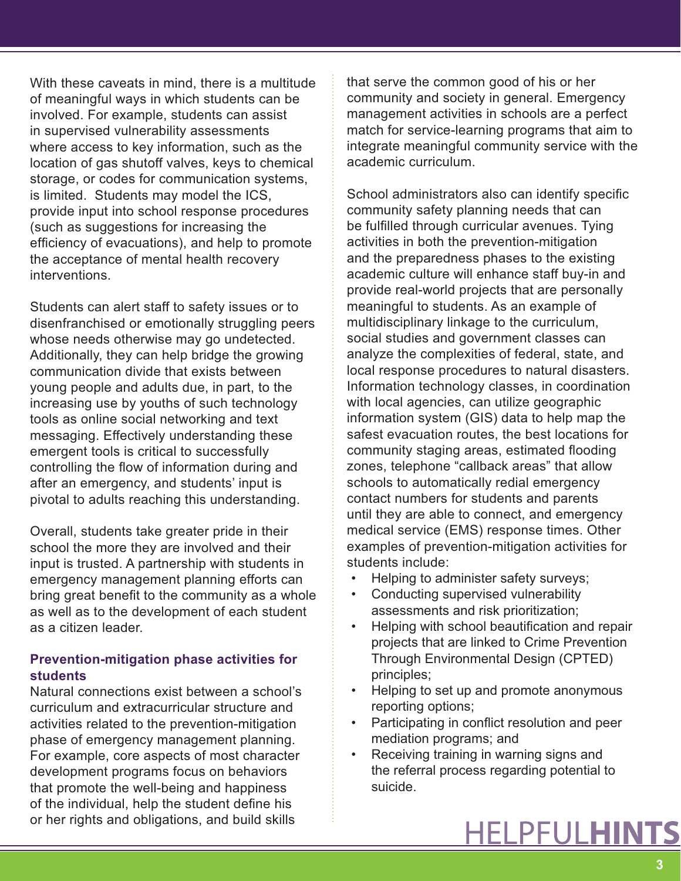With these caveats in mind, there is a multitude of meaningful ways in which students can be involved. For example, students can assist in supervised vulnerability assessments where access to key information, such as the location of gas shutoff valves, keys to chemical storage, or codes for communication systems, is limited. Students may model the ICS, provide input into school response procedures (such as suggestions for increasing the efficiency of evacuations), and help to promote the acceptance of mental health recovery interventions.

Students can alert staff to safety issues or to disenfranchised or emotionally struggling peers whose needs otherwise may go undetected. Additionally, they can help bridge the growing communication divide that exists between young people and adults due, in part, to the increasing use by youths of such technology tools as online social networking and text messaging. Effectively understanding these emergent tools is critical to successfully controlling the flow of information during and after an emergency, and students' input is pivotal to adults reaching this understanding.

Overall, students take greater pride in their school the more they are involved and their input is trusted. A partnership with students in emergency management planning efforts can bring great benefit to the community as a whole as well as to the development of each student as a citizen leader.

#### **Prevention-mitigation phase activities for students**

Natural connections exist between a school's curriculum and extracurricular structure and activities related to the prevention-mitigation phase of emergency management planning. For example, core aspects of most character development programs focus on behaviors that promote the well-being and happiness of the individual, help the student define his or her rights and obligations, and build skills

that serve the common good of his or her community and society in general. Emergency management activities in schools are a perfect match for service-learning programs that aim to integrate meaningful community service with the academic curriculum.

School administrators also can identify specific community safety planning needs that can be fulfilled through curricular avenues. Tying activities in both the prevention-mitigation and the preparedness phases to the existing academic culture will enhance staff buy-in and provide real-world projects that are personally meaningful to students. As an example of multidisciplinary linkage to the curriculum, social studies and government classes can analyze the complexities of federal, state, and local response procedures to natural disasters. Information technology classes, in coordination with local agencies, can utilize geographic information system (GIS) data to help map the safest evacuation routes, the best locations for community staging areas, estimated flooding zones, telephone "callback areas" that allow schools to automatically redial emergency contact numbers for students and parents until they are able to connect, and emergency medical service (EMS) response times. Other examples of prevention-mitigation activities for students include:

- Helping to administer safety surveys;
- Conducting supervised vulnerability assessments and risk prioritization;
- Helping with school beautification and repair projects that are linked to Crime Prevention Through Environmental Design (CPTED) principles;
- Helping to set up and promote anonymous reporting options;
- Participating in conflict resolution and peer mediation programs; and
- Receiving training in warning signs and the referral process regarding potential to suicide.

# HELPFULHINTS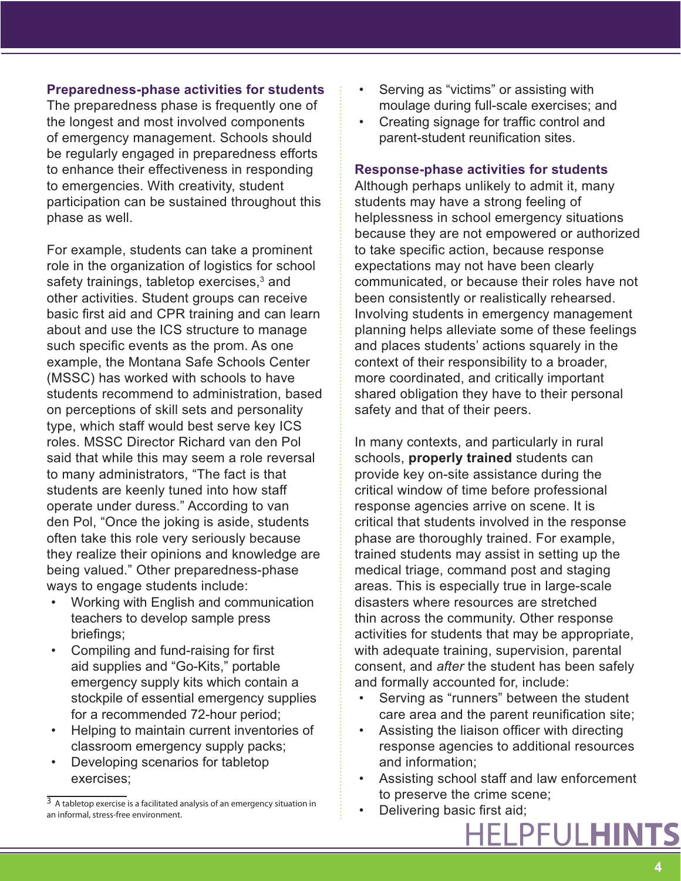#### **Preparedness-phase activities for students**

The preparedness phase is frequently one of the longest and most involved components of emergency management. Schools should be regularly engaged in preparedness efforts to enhance their effectiveness in responding to emergencies. With creativity, student participation can be sustained throughout this phase as well.

For example, students can take a prominent role in the organization of logistics for school safety trainings, tabletop exercises,<sup>3</sup> and other activities. Student groups can receive basic first aid and CPR training and can learn about and use the ICS structure to manage such specific events as the prom. As one example, the Montana Safe Schools Center (MSSC) has worked with schools to have students recommend to administration, based on perceptions of skill sets and personality type, which staff would best serve key ICS roles. MSSC Director Richard van den Pol said that while this may seem a role reversal to many administrators, "The fact is that students are keenly tuned into how staff operate under duress." According to van den Pol, "Once the joking is aside, students often take this role very seriously because they realize their opinions and knowledge are being valued." Other preparedness-phase ways to engage students include:

- Working with English and communication teachers to develop sample press briefings;
- Compiling and fund-raising for first aid supplies and "Go-Kits," portable emergency supply kits which contain a stockpile of essential emergency supplies for a recommended 72-hour period;
- Helping to maintain current inventories of classroom emergency supply packs;
- Developing scenarios for tabletop exercises;
- Serving as "victims" or assisting with moulage during full-scale exercises; and
- Creating signage for traffic control and parent-student reunification sites.

#### **Response-phase activities for students**

Although perhaps unlikely to admit it, many students may have a strong feeling of helplessness in school emergency situations because they are not empowered or authorized to take specific action, because response expectations may not have been clearly communicated, or because their roles have not been consistently or realistically rehearsed. Involving students in emergency management planning helps alleviate some of these feelings and places students' actions squarely in the context of their responsibility to a broader, more coordinated, and critically important shared obligation they have to their personal safety and that of their peers.

In many contexts, and particularly in rural schools, **properly trained** students can provide key on-site assistance during the critical window of time before professional response agencies arrive on scene. It is critical that students involved in the response phase are thoroughly trained. For example, trained students may assist in setting up the medical triage, command post and staging areas. This is especially true in large-scale disasters where resources are stretched thin across the community. Other response activities for students that may be appropriate, with adequate training, supervision, parental consent, and *after* the student has been safely and formally accounted for, include:

- Serving as "runners" between the student care area and the parent reunification site;
- Assisting the liaison officer with directing response agencies to additional resources and information;
- Assisting school staff and law enforcement to preserve the crime scene;
- Delivering basic first aid;

 $\overline{3}$  A tabletop exercise is a facilitated analysis of an emergency situation in an informal, stress-free environment.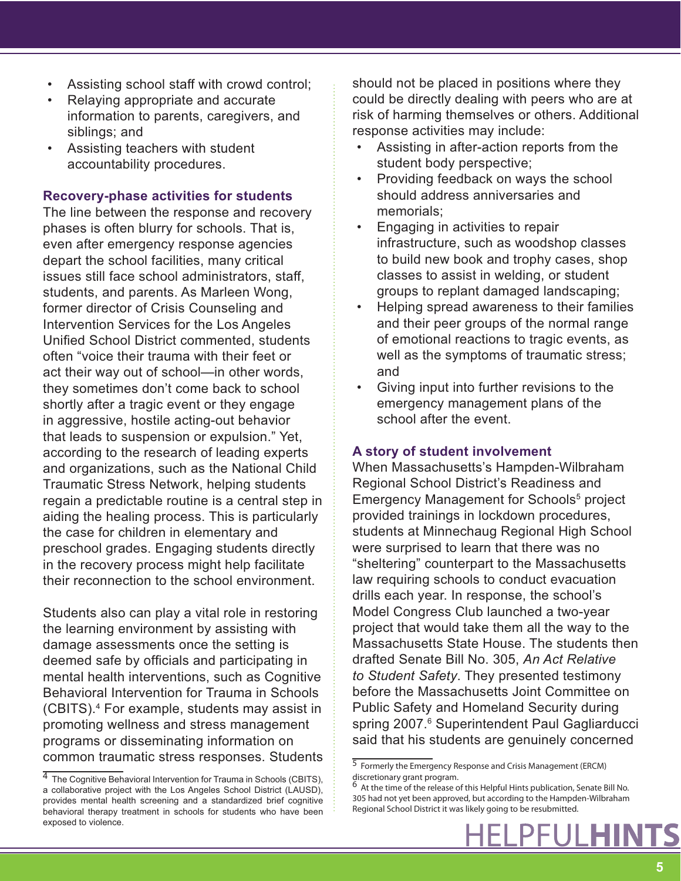- Assisting school staff with crowd control;
- Relaying appropriate and accurate information to parents, caregivers, and siblings; and
- Assisting teachers with student accountability procedures.

#### **Recovery-phase activities for students**

The line between the response and recovery phases is often blurry for schools. That is, even after emergency response agencies depart the school facilities, many critical issues still face school administrators, staff, students, and parents. As Marleen Wong, former director of Crisis Counseling and Intervention Services for the Los Angeles Unified School District commented, students often "voice their trauma with their feet or act their way out of school—in other words, they sometimes don't come back to school shortly after a tragic event or they engage in aggressive, hostile acting-out behavior that leads to suspension or expulsion." Yet, according to the research of leading experts and organizations, such as the National Child Traumatic Stress Network, helping students regain a predictable routine is a central step in aiding the healing process. This is particularly the case for children in elementary and preschool grades. Engaging students directly in the recovery process might help facilitate their reconnection to the school environment.

Students also can play a vital role in restoring the learning environment by assisting with damage assessments once the setting is deemed safe by officials and participating in mental health interventions, such as Cognitive Behavioral Intervention for Trauma in Schools (CBITS).4 For example, students may assist in promoting wellness and stress management programs or disseminating information on common traumatic stress responses. Students should not be placed in positions where they could be directly dealing with peers who are at risk of harming themselves or others. Additional response activities may include:

- Assisting in after-action reports from the student body perspective;
- Providing feedback on ways the school should address anniversaries and memorials;
- Engaging in activities to repair infrastructure, such as woodshop classes to build new book and trophy cases, shop classes to assist in welding, or student groups to replant damaged landscaping;
- Helping spread awareness to their families and their peer groups of the normal range of emotional reactions to tragic events, as well as the symptoms of traumatic stress; and
- Giving input into further revisions to the emergency management plans of the school after the event.

#### **A story of student involvement**

When Massachusetts's Hampden-Wilbraham Regional School District's Readiness and Emergency Management for Schools<sup>5</sup> project provided trainings in lockdown procedures, students at Minnechaug Regional High School were surprised to learn that there was no "sheltering" counterpart to the Massachusetts law requiring schools to conduct evacuation drills each year. In response, the school's Model Congress Club launched a two-year project that would take them all the way to the Massachusetts State House. The students then drafted Senate Bill No. 305, *An Act Relative to Student Safety*. They presented testimony before the Massachusetts Joint Committee on Public Safety and Homeland Security during spring 2007.<sup>6</sup> Superintendent Paul Gagliarducci said that his students are genuinely concerned

**5**

<sup>4</sup> The Cognitive Behavioral Intervention for Trauma in Schools (CBITS), a collaborative project with the Los Angeles School District (LAUSD), provides mental health screening and a standardized brief cognitive behavioral therapy treatment in schools for students who have been exposed to violence.

<sup>5</sup> Formerly the Emergency Response and Crisis Management (ERCM) discretionary grant program.

<sup>6</sup> At the time of the release of this Helpful Hints publication, Senate Bill No. 305 had not yet been approved, but according to the Hampden-Wilbraham Regional School District it was likely going to be resubmitted.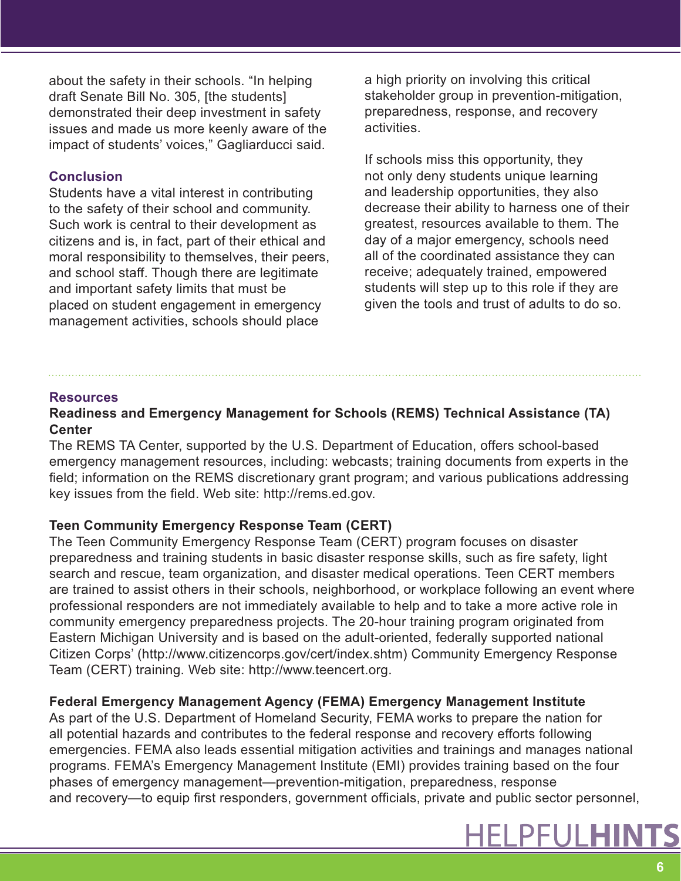about the safety in their schools. "In helping draft Senate Bill No. 305, [the students] demonstrated their deep investment in safety issues and made us more keenly aware of the impact of students' voices," Gagliarducci said.

#### **Conclusion**

Students have a vital interest in contributing to the safety of their school and community. Such work is central to their development as citizens and is, in fact, part of their ethical and moral responsibility to themselves, their peers, and school staff. Though there are legitimate and important safety limits that must be placed on student engagement in emergency management activities, schools should place

a high priority on involving this critical stakeholder group in prevention-mitigation, preparedness, response, and recovery activities.

If schools miss this opportunity, they not only deny students unique learning and leadership opportunities, they also decrease their ability to harness one of their greatest, resources available to them. The day of a major emergency, schools need all of the coordinated assistance they can receive; adequately trained, empowered students will step up to this role if they are given the tools and trust of adults to do so.

#### **Resources**

# **Readiness and Emergency Management for Schools (REMS) Technical Assistance (TA) Center**

The REMS TA Center, supported by the U.S. Department of Education, offers school-based emergency management resources, including: webcasts; training documents from experts in the field; information on the REMS discretionary grant program; and various publications addressing key issues from the field. Web site: http://rems.ed.gov.

### **Teen Community Emergency Response Team (CERT)**

The Teen Community Emergency Response Team (CERT) program focuses on disaster preparedness and training students in basic disaster response skills, such as fire safety, light search and rescue, team organization, and disaster medical operations. Teen CERT members are trained to assist others in their schools, neighborhood, or workplace following an event where professional responders are not immediately available to help and to take a more active role in community emergency preparedness projects. The 20-hour training program originated from Eastern Michigan University and is based on the adult-oriented, federally supported national Citizen Corps' (http://www.citizencorps.gov/cert/index.shtm) Community Emergency Response Team (CERT) training. Web site: http://www.teencert.org.

# **Federal Emergency Management Agency (FEMA) Emergency Management Institute**

As part of the U.S. Department of Homeland Security, FEMA works to prepare the nation for all potential hazards and contributes to the federal response and recovery efforts following emergencies. FEMA also leads essential mitigation activities and trainings and manages national programs. FEMA's Emergency Management Institute (EMI) provides training based on the four phases of emergency management—prevention-mitigation, preparedness, response and recovery—to equip first responders, government officials, private and public sector personnel,